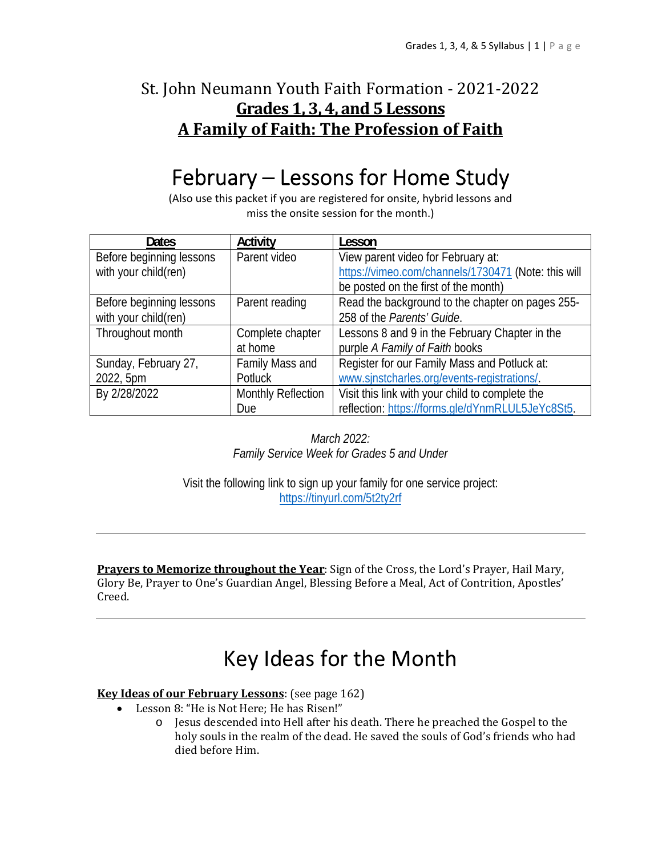# St. John Neumann Youth Faith Formation - 2021-2022 **Grades 1, 3, 4, and 5 Lessons A Family of Faith: The Profession of Faith**

# February – Lessons for Home Study

(Also use this packet if you are registered for onsite, hybrid lessons and miss the onsite session for the month.)

| <b>Dates</b>             | Activity                  | Lesson                                              |
|--------------------------|---------------------------|-----------------------------------------------------|
| Before beginning lessons | Parent video              | View parent video for February at:                  |
| with your child(ren)     |                           | https://vimeo.com/channels/1730471 (Note: this will |
|                          |                           | be posted on the first of the month)                |
| Before beginning lessons | Parent reading            | Read the background to the chapter on pages 255-    |
| with your child(ren)     |                           | 258 of the Parents' Guide.                          |
| Throughout month         | Complete chapter          | Lessons 8 and 9 in the February Chapter in the      |
|                          | at home                   | purple A Family of Faith books                      |
| Sunday, February 27,     | Family Mass and           | Register for our Family Mass and Potluck at:        |
| 2022, 5pm                | Potluck                   | www.sinstcharles.org/events-registrations/.         |
| By 2/28/2022             | <b>Monthly Reflection</b> | Visit this link with your child to complete the     |
|                          | Due                       | reflection: https://forms.gle/dYnmRLUL5JeYc8St5.    |

*March 2022: Family Service Week for Grades 5 and Under* 

Visit the following link to sign up your family for one service project: https://tinyurl.com/5t2ty2rf

**Prayers to Memorize throughout the Year**: Sign of the Cross, the Lord's Prayer, Hail Mary, Glory Be, Prayer to One's Guardian Angel, Blessing Before a Meal, Act of Contrition, Apostles' Creed.

# Key Ideas for the Month

## **Key Ideas of our February Lessons**: (see page 162)

- Lesson 8: "He is Not Here; He has Risen!"
	- o Jesus descended into Hell after his death. There he preached the Gospel to the holy souls in the realm of the dead. He saved the souls of God's friends who had died before Him.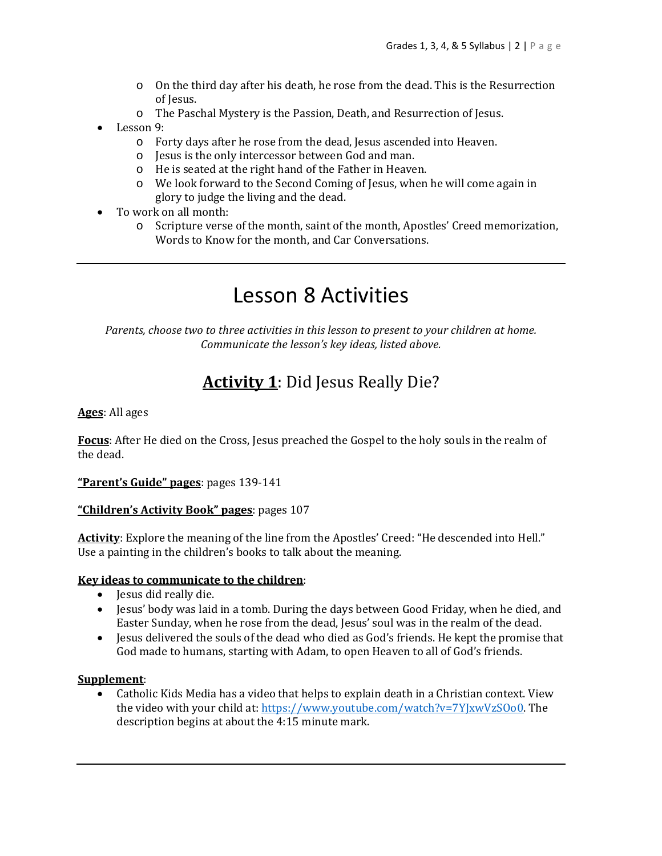- o On the third day after his death, he rose from the dead. This is the Resurrection of Jesus.
- o The Paschal Mystery is the Passion, Death, and Resurrection of Jesus.
- Lesson 9:
	- o Forty days after he rose from the dead, Jesus ascended into Heaven.
	- o Jesus is the only intercessor between God and man.
	- o He is seated at the right hand of the Father in Heaven.
	- o We look forward to the Second Coming of Jesus, when he will come again in glory to judge the living and the dead.
- To work on all month:
	- o Scripture verse of the month, saint of the month, Apostles' Creed memorization, Words to Know for the month, and Car Conversations.

# Lesson 8 Activities

*Parents, choose two to three activities in this lesson to present to your children at home. Communicate the lesson's key ideas, listed above.*

# **Activity 1**: Did Jesus Really Die?

### **Ages**: All ages

**Focus**: After He died on the Cross, Jesus preached the Gospel to the holy souls in the realm of the dead.

**"Parent's Guide" pages**: pages 139-141

### **"Children's Activity Book" pages**: pages 107

**Activity**: Explore the meaning of the line from the Apostles' Creed: "He descended into Hell." Use a painting in the children's books to talk about the meaning.

### **Key ideas to communicate to the children**:

- Jesus did really die.
- Jesus' body was laid in a tomb. During the days between Good Friday, when he died, and Easter Sunday, when he rose from the dead, Jesus' soul was in the realm of the dead.
- Jesus delivered the souls of the dead who died as God's friends. He kept the promise that God made to humans, starting with Adam, to open Heaven to all of God's friends.

### **Supplement**:

 Catholic Kids Media has a video that helps to explain death in a Christian context. View the video with your child at: https://www.youtube.com/watch?v=7YJxwVzSOo0. The description begins at about the 4:15 minute mark.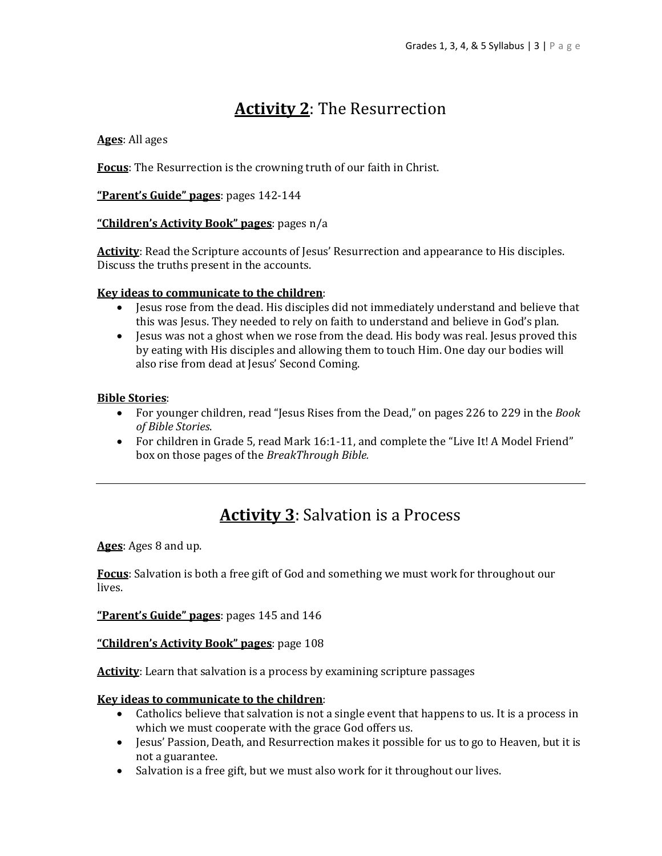# **Activity 2**: The Resurrection

## **Ages**: All ages

**Focus**: The Resurrection is the crowning truth of our faith in Christ.

**"Parent's Guide" pages**: pages 142-144

## **"Children's Activity Book" pages**: pages n/a

Activity: Read the Scripture accounts of Jesus' Resurrection and appearance to His disciples. Discuss the truths present in the accounts.

### **Key ideas to communicate to the children**:

- Jesus rose from the dead. His disciples did not immediately understand and believe that this was Jesus. They needed to rely on faith to understand and believe in God's plan.
- Jesus was not a ghost when we rose from the dead. His body was real. Jesus proved this by eating with His disciples and allowing them to touch Him. One day our bodies will also rise from dead at Jesus' Second Coming.

#### **Bible Stories**:

- For younger children, read "Jesus Rises from the Dead," on pages 226 to 229 in the *Book of Bible Stories*.
- For children in Grade 5, read Mark 16:1-11, and complete the "Live It! A Model Friend" box on those pages of the *BreakThrough Bible.*

# **Activity 3**: Salvation is a Process

**Ages**: Ages 8 and up.

**Focus**: Salvation is both a free gift of God and something we must work for throughout our lives.

**"Parent's Guide" pages**: pages 145 and 146

#### **"Children's Activity Book" pages**: page 108

**Activity**: Learn that salvation is a process by examining scripture passages

### **Key ideas to communicate to the children**:

- Catholics believe that salvation is not a single event that happens to us. It is a process in which we must cooperate with the grace God offers us.
- Jesus' Passion, Death, and Resurrection makes it possible for us to go to Heaven, but it is not a guarantee.
- Salvation is a free gift, but we must also work for it throughout our lives.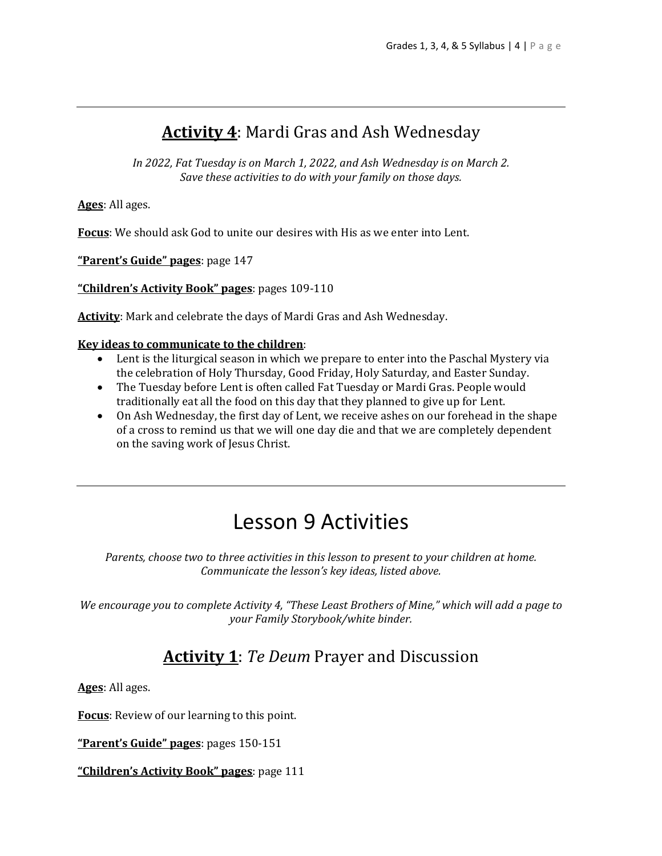# **Activity 4**: Mardi Gras and Ash Wednesday

*In 2022, Fat Tuesday is on March 1, 2022, and Ash Wednesday is on March 2. Save these activities to do with your family on those days.*

**Ages**: All ages.

**Focus**: We should ask God to unite our desires with His as we enter into Lent.

**"Parent's Guide" pages**: page 147

**"Children's Activity Book" pages**: pages 109-110

**Activity**: Mark and celebrate the days of Mardi Gras and Ash Wednesday.

## **Key ideas to communicate to the children**:

- Lent is the liturgical season in which we prepare to enter into the Paschal Mystery via the celebration of Holy Thursday, Good Friday, Holy Saturday, and Easter Sunday.
- The Tuesday before Lent is often called Fat Tuesday or Mardi Gras. People would traditionally eat all the food on this day that they planned to give up for Lent.
- On Ash Wednesday, the first day of Lent, we receive ashes on our forehead in the shape of a cross to remind us that we will one day die and that we are completely dependent on the saving work of Jesus Christ.

# Lesson 9 Activities

*Parents, choose two to three activities in this lesson to present to your children at home. Communicate the lesson's key ideas, listed above.*

*We encourage you to complete Activity 4, "These Least Brothers of Mine," which will add a page to your Family Storybook/white binder.* 

# **Activity 1**: *Te Deum* Prayer and Discussion

**Ages**: All ages.

**Focus**: Review of our learning to this point.

**"Parent's Guide" pages**: pages 150-151

**"Children's Activity Book" pages**: page 111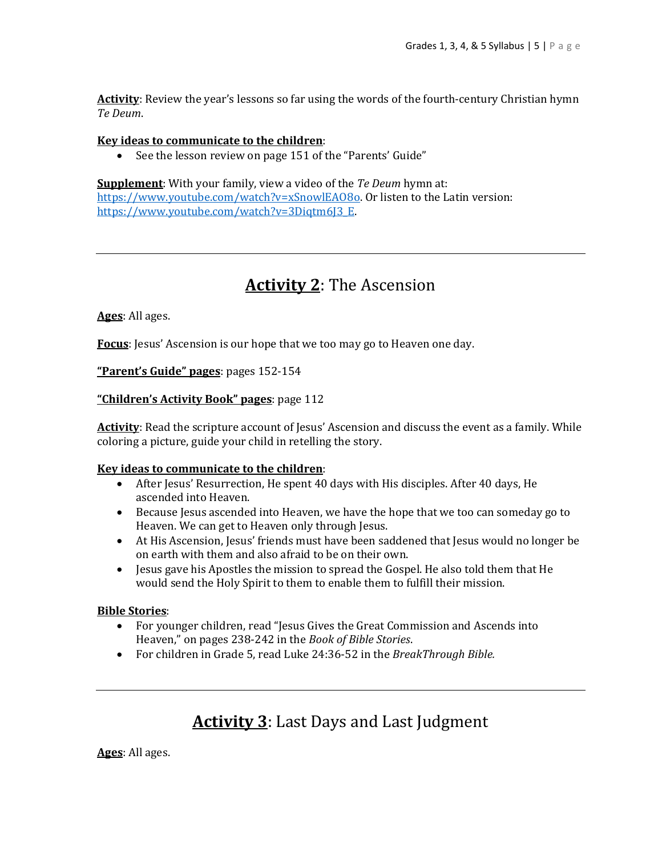**Activity**: Review the year's lessons so far using the words of the fourth-century Christian hymn *Te Deum*.

#### **Key ideas to communicate to the children**:

• See the lesson review on page 151 of the "Parents' Guide"

**Supplement**: With your family, view a video of the *Te Deum* hymn at: https://www.youtube.com/watch?v=xSnowlEAO8o. Or listen to the Latin version: https://www.youtube.com/watch?v=3Digtm6J3\_E.

# **Activity 2**: The Ascension

**Ages**: All ages.

**Focus**: Jesus' Ascension is our hope that we too may go to Heaven one day.

**"Parent's Guide" pages**: pages 152-154

#### **"Children's Activity Book" pages**: page 112

Activity: Read the scripture account of Jesus' Ascension and discuss the event as a family. While coloring a picture, guide your child in retelling the story.

#### **Key ideas to communicate to the children**:

- After Jesus' Resurrection, He spent 40 days with His disciples. After 40 days, He ascended into Heaven.
- Because Jesus ascended into Heaven, we have the hope that we too can someday go to Heaven. We can get to Heaven only through Jesus.
- At His Ascension, Jesus' friends must have been saddened that Jesus would no longer be on earth with them and also afraid to be on their own.
- Jesus gave his Apostles the mission to spread the Gospel. He also told them that He would send the Holy Spirit to them to enable them to fulfill their mission.

#### **Bible Stories**:

- For younger children, read "Jesus Gives the Great Commission and Ascends into Heaven," on pages 238-242 in the *Book of Bible Stories*.
- For children in Grade 5, read Luke 24:36-52 in the *BreakThrough Bible.*

# **Activity 3**: Last Days and Last Judgment

**Ages**: All ages.